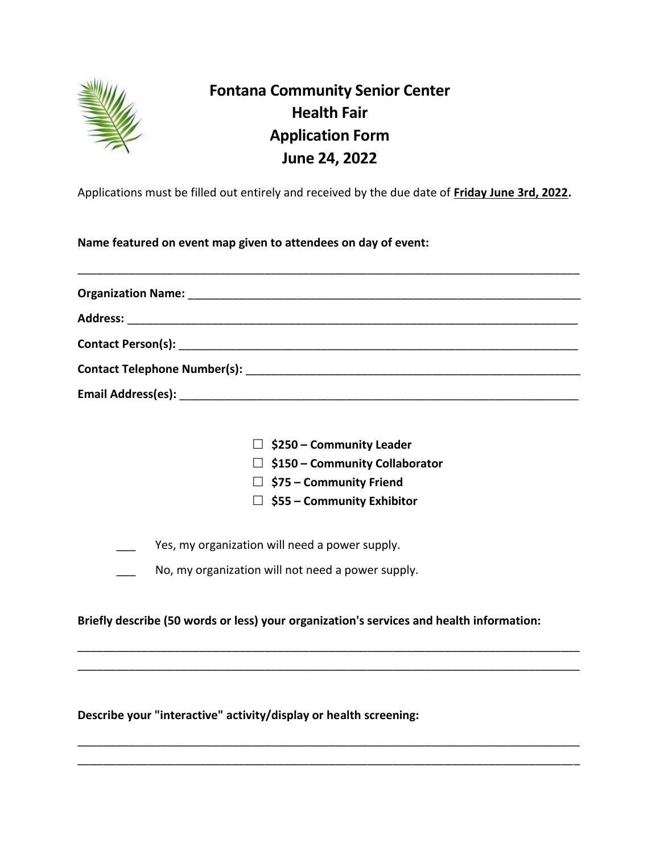

# **Fontana Community Senior Center Health Fair Application Form June 24, 2022**

Applications must be filled out entirely and received by the due date of **Friday June 3rd, 2022.**

**Name featured on event map given to attendees on day of event:**

|  | $\Box$ \$250 – Community Leader                                                          |  |  |
|--|------------------------------------------------------------------------------------------|--|--|
|  | $\Box$ \$150 – Community Collaborator                                                    |  |  |
|  | $\Box$ \$75 – Community Friend                                                           |  |  |
|  | $\Box$ \$55 – Community Exhibitor                                                        |  |  |
|  | Yes, my organization will need a power supply.                                           |  |  |
|  | No, my organization will not need a power supply.                                        |  |  |
|  | Briefly describe (50 words or less) your organization's services and health information: |  |  |
|  |                                                                                          |  |  |

\_\_\_\_\_\_\_\_\_\_\_\_\_\_\_\_\_\_\_\_\_\_\_\_\_\_\_\_\_\_\_\_\_\_\_\_\_\_\_\_\_\_\_\_\_\_\_\_\_\_\_\_\_\_\_\_\_\_\_\_\_\_\_\_\_\_\_\_\_\_\_\_\_\_\_\_\_\_ \_\_\_\_\_\_\_\_\_\_\_\_\_\_\_\_\_\_\_\_\_\_\_\_\_\_\_\_\_\_\_\_\_\_\_\_\_\_\_\_\_\_\_\_\_\_\_\_\_\_\_\_\_\_\_\_\_\_\_\_\_\_\_\_\_\_\_\_\_\_\_\_\_\_\_\_\_\_

**Describe your "interactive" activity/display or health screening:**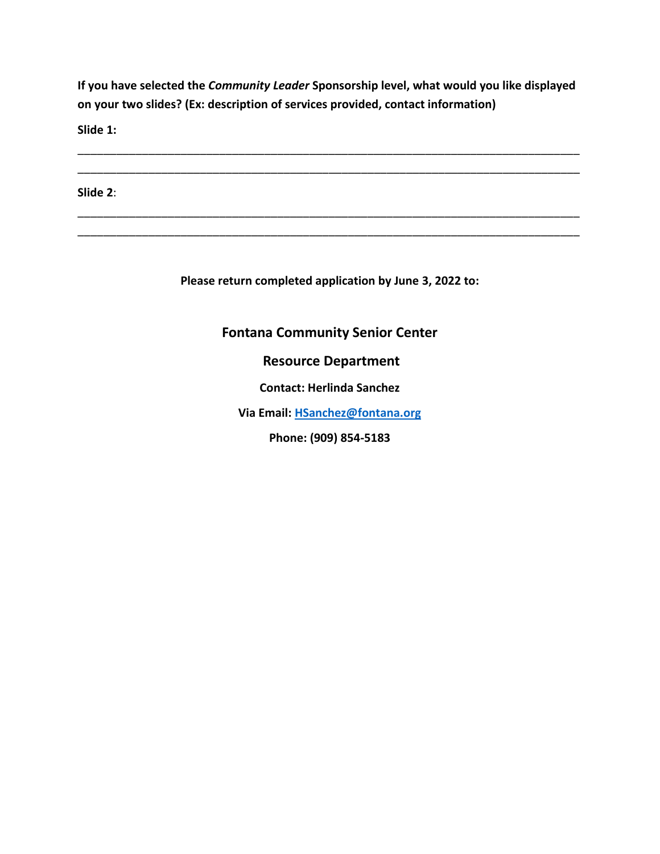**If you have selected the** *Community Leader* **Sponsorship level, what would you like displayed on your two slides? (Ex: description of services provided, contact information)**

\_\_\_\_\_\_\_\_\_\_\_\_\_\_\_\_\_\_\_\_\_\_\_\_\_\_\_\_\_\_\_\_\_\_\_\_\_\_\_\_\_\_\_\_\_\_\_\_\_\_\_\_\_\_\_\_\_\_\_\_\_\_\_\_\_\_\_\_\_\_\_\_\_\_\_\_\_\_ \_\_\_\_\_\_\_\_\_\_\_\_\_\_\_\_\_\_\_\_\_\_\_\_\_\_\_\_\_\_\_\_\_\_\_\_\_\_\_\_\_\_\_\_\_\_\_\_\_\_\_\_\_\_\_\_\_\_\_\_\_\_\_\_\_\_\_\_\_\_\_\_\_\_\_\_\_\_

\_\_\_\_\_\_\_\_\_\_\_\_\_\_\_\_\_\_\_\_\_\_\_\_\_\_\_\_\_\_\_\_\_\_\_\_\_\_\_\_\_\_\_\_\_\_\_\_\_\_\_\_\_\_\_\_\_\_\_\_\_\_\_\_\_\_\_\_\_\_\_\_\_\_\_\_\_\_ \_\_\_\_\_\_\_\_\_\_\_\_\_\_\_\_\_\_\_\_\_\_\_\_\_\_\_\_\_\_\_\_\_\_\_\_\_\_\_\_\_\_\_\_\_\_\_\_\_\_\_\_\_\_\_\_\_\_\_\_\_\_\_\_\_\_\_\_\_\_\_\_\_\_\_\_\_\_

**Slide 1:**

**Slide 2**:

**Please return completed application by June 3, 2022 to:**

## **Fontana Community Senior Center**

### **Resource Department**

**Contact: Herlinda Sanchez**

**Via Email: [HSanchez@fontana.org](mailto:HSanchez@fontana.org)**

**Phone: (909) 854-5183**